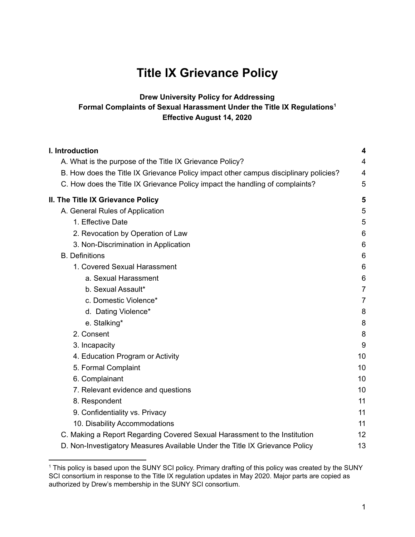# **Title IX Grievance Policy**

### **Drew University Policy for Addressing Formal Complaints of Sexual Harassment Under the Title IX Regulations 1 Effective August 14, 2020**

| I. Introduction                                                                      | 4              |
|--------------------------------------------------------------------------------------|----------------|
| A. What is the purpose of the Title IX Grievance Policy?                             | 4              |
| B. How does the Title IX Grievance Policy impact other campus disciplinary policies? | $\overline{4}$ |
| C. How does the Title IX Grievance Policy impact the handling of complaints?         | 5              |
| II. The Title IX Grievance Policy                                                    | 5              |
| A. General Rules of Application                                                      | 5              |
| 1. Effective Date                                                                    | 5              |
| 2. Revocation by Operation of Law                                                    | 6              |
| 3. Non-Discrimination in Application                                                 | 6              |
| <b>B.</b> Definitions                                                                | 6              |
| 1. Covered Sexual Harassment                                                         | 6              |
| a. Sexual Harassment                                                                 | 6              |
| b. Sexual Assault*                                                                   | $\overline{7}$ |
| c. Domestic Violence*                                                                | $\overline{7}$ |
| d. Dating Violence*                                                                  | 8              |
| e. Stalking*                                                                         | 8              |
| 2. Consent                                                                           | 8              |
| 3. Incapacity                                                                        | 9              |
| 4. Education Program or Activity                                                     | 10             |
| 5. Formal Complaint                                                                  | 10             |
| 6. Complainant                                                                       | 10             |
| 7. Relevant evidence and questions                                                   | 10             |
| 8. Respondent                                                                        | 11             |
| 9. Confidentiality vs. Privacy                                                       | 11             |
| 10. Disability Accommodations                                                        | 11             |
| C. Making a Report Regarding Covered Sexual Harassment to the Institution            | 12             |
| D. Non-Investigatory Measures Available Under the Title IX Grievance Policy          | 13             |

<sup>&</sup>lt;sup>1</sup> This policy is based upon the SUNY SCI policy. Primary drafting of this policy was created by the SUNY SCI consortium in response to the Title IX regulation updates in May 2020. Major parts are copied as authorized by Drew's membership in the SUNY SCI consortium.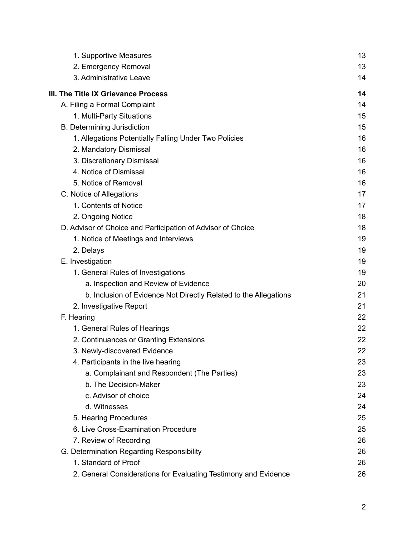| 1. Supportive Measures                                           | 13 |
|------------------------------------------------------------------|----|
| 2. Emergency Removal                                             | 13 |
| 3. Administrative Leave                                          | 14 |
| III. The Title IX Grievance Process                              | 14 |
| A. Filing a Formal Complaint                                     | 14 |
| 1. Multi-Party Situations                                        | 15 |
| <b>B.</b> Determining Jurisdiction                               | 15 |
| 1. Allegations Potentially Falling Under Two Policies            | 16 |
| 2. Mandatory Dismissal                                           | 16 |
| 3. Discretionary Dismissal                                       | 16 |
| 4. Notice of Dismissal                                           | 16 |
| 5. Notice of Removal                                             | 16 |
| C. Notice of Allegations                                         | 17 |
| 1. Contents of Notice                                            | 17 |
| 2. Ongoing Notice                                                | 18 |
| D. Advisor of Choice and Participation of Advisor of Choice      | 18 |
| 1. Notice of Meetings and Interviews                             | 19 |
| 2. Delays                                                        | 19 |
| E. Investigation                                                 | 19 |
| 1. General Rules of Investigations                               | 19 |
| a. Inspection and Review of Evidence                             | 20 |
| b. Inclusion of Evidence Not Directly Related to the Allegations | 21 |
| 2. Investigative Report                                          | 21 |
| F. Hearing                                                       | 22 |
| 1. General Rules of Hearings                                     | 22 |
| 2. Continuances or Granting Extensions                           | 22 |
| 3. Newly-discovered Evidence                                     | 22 |
| 4. Participants in the live hearing                              | 23 |
| a. Complainant and Respondent (The Parties)                      | 23 |
| b. The Decision-Maker                                            | 23 |
| c. Advisor of choice                                             | 24 |
| d. Witnesses                                                     | 24 |
| 5. Hearing Procedures                                            | 25 |
| 6. Live Cross-Examination Procedure                              | 25 |
| 7. Review of Recording                                           | 26 |
| G. Determination Regarding Responsibility                        | 26 |
| 1. Standard of Proof                                             | 26 |
| 2. General Considerations for Evaluating Testimony and Evidence  | 26 |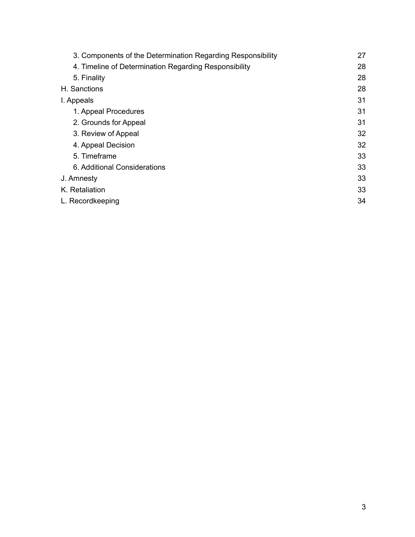| 3. Components of the Determination Regarding Responsibility | 27 |
|-------------------------------------------------------------|----|
| 4. Timeline of Determination Regarding Responsibility       | 28 |
| 5. Finality                                                 | 28 |
| H. Sanctions                                                | 28 |
| I. Appeals                                                  | 31 |
| 1. Appeal Procedures                                        | 31 |
| 2. Grounds for Appeal                                       | 31 |
| 3. Review of Appeal                                         | 32 |
| 4. Appeal Decision                                          | 32 |
| 5. Timeframe                                                | 33 |
| 6. Additional Considerations                                | 33 |
| J. Amnesty                                                  | 33 |
| K. Retaliation                                              | 33 |
| L. Recordkeeping                                            | 34 |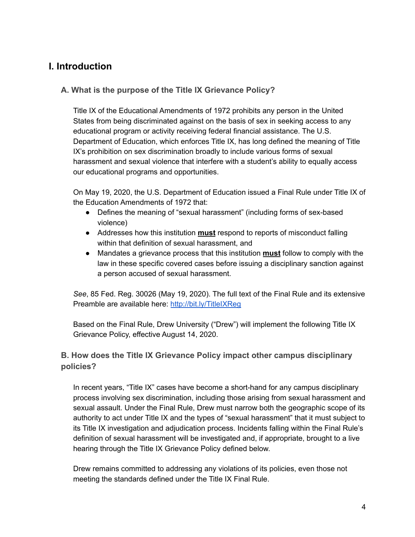# <span id="page-3-0"></span>**I. Introduction**

# <span id="page-3-1"></span>**A. What is the purpose of the Title IX Grievance Policy?**

Title IX of the Educational Amendments of 1972 prohibits any person in the United States from being discriminated against on the basis of sex in seeking access to any educational program or activity receiving federal financial assistance. The U.S. Department of Education, which enforces Title IX, has long defined the meaning of Title IX's prohibition on sex discrimination broadly to include various forms of sexual harassment and sexual violence that interfere with a student's ability to equally access our educational programs and opportunities.

On May 19, 2020, the U.S. Department of Education issued a Final Rule under Title IX of the Education Amendments of 1972 that:

- Defines the meaning of "sexual harassment" (including forms of sex-based violence)
- Addresses how this institution **must** respond to reports of misconduct falling within that definition of sexual harassment, and
- Mandates a grievance process that this institution **must** follow to comply with the law in these specific covered cases before issuing a disciplinary sanction against a person accused of sexual harassment.

*See*, 85 Fed. Reg. 30026 (May 19, 2020). The full text of the Final Rule and its extensive Preamble are available here: <http://bit.ly/TitleIXReg>

Based on the Final Rule, Drew University ("Drew") will implement the following Title IX Grievance Policy, effective August 14, 2020.

# <span id="page-3-2"></span>**B. How does the Title IX Grievance Policy impact other campus disciplinary policies?**

In recent years, "Title IX" cases have become a short-hand for any campus disciplinary process involving sex discrimination, including those arising from sexual harassment and sexual assault. Under the Final Rule, Drew must narrow both the geographic scope of its authority to act under Title IX and the types of "sexual harassment" that it must subject to its Title IX investigation and adjudication process. Incidents falling within the Final Rule's definition of sexual harassment will be investigated and, if appropriate, brought to a live hearing through the Title IX Grievance Policy defined below.

Drew remains committed to addressing any violations of its policies, even those not meeting the standards defined under the Title IX Final Rule.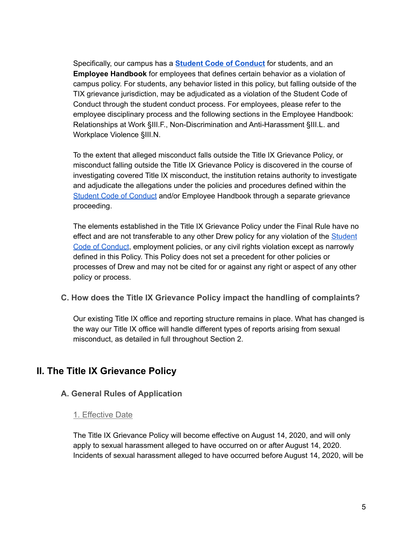Specifically, our campus has a **Student Code of [Conduct](http://www.drew.edu/policy/policies/all-policies/clsa-policies/)** for students, and an **Employee Handbook** for employees that defines certain behavior as a violation of campus policy. For students, any behavior listed in this policy, but falling outside of the TIX grievance jurisdiction, may be adjudicated as a violation of the Student Code of Conduct through the student conduct process. For employees, please refer to the employee disciplinary process and the following sections in the Employee Handbook: Relationships at Work §III.F., Non-Discrimination and Anti-Harassment §III.L. and Workplace Violence §III.N.

To the extent that alleged misconduct falls outside the Title IX Grievance Policy, or misconduct falling outside the Title IX Grievance Policy is discovered in the course of investigating covered Title IX misconduct, the institution retains authority to investigate and adjudicate the allegations under the policies and procedures defined within the Student Code of [Conduct](http://www.drew.edu/policy/policies/all-policies/clsa-policies/) and/or Employee Handbook through a separate grievance proceeding.

The elements established in the Title IX Grievance Policy under the Final Rule have no effect and are not transferable to any other Drew policy for any violation of the [Student](http://www.drew.edu/policy/policies/all-policies/clsa-policies/) Code of [Conduct](http://www.drew.edu/policy/policies/all-policies/clsa-policies/), employment policies, or any civil rights violation except as narrowly defined in this Policy. This Policy does not set a precedent for other policies or processes of Drew and may not be cited for or against any right or aspect of any other policy or process.

<span id="page-4-0"></span>**C. How does the Title IX Grievance Policy impact the handling of complaints?**

Our existing Title IX office and reporting structure remains in place. What has changed is the way our Title IX office will handle different types of reports arising from sexual misconduct, as detailed in full throughout Section 2.

# <span id="page-4-1"></span>**II. The Title IX Grievance Policy**

# <span id="page-4-3"></span><span id="page-4-2"></span>**A. General Rules of Application**

#### 1. Effective Date

The Title IX Grievance Policy will become effective on August 14, 2020, and will only apply to sexual harassment alleged to have occurred on or after August 14, 2020. Incidents of sexual harassment alleged to have occurred before August 14, 2020, will be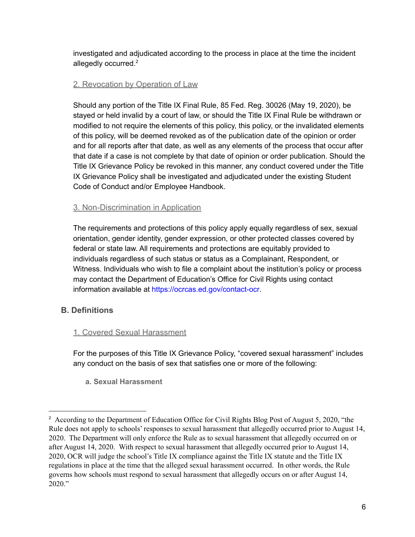investigated and adjudicated according to the process in place at the time the incident allegedly occurred.<sup>2</sup>

# <span id="page-5-0"></span>2. Revocation by Operation of Law

Should any portion of the Title IX Final Rule, 85 Fed. Reg. 30026 (May 19, 2020), be stayed or held invalid by a court of law, or should the Title IX Final Rule be withdrawn or modified to not require the elements of this policy, this policy, or the invalidated elements of this policy, will be deemed revoked as of the publication date of the opinion or order and for all reports after that date, as well as any elements of the process that occur after that date if a case is not complete by that date of opinion or order publication. Should the Title IX Grievance Policy be revoked in this manner, any conduct covered under the Title IX Grievance Policy shall be investigated and adjudicated under the existing Student Code of Conduct and/or Employee Handbook.

# <span id="page-5-1"></span>3. Non-Discrimination in Application

The requirements and protections of this policy apply equally regardless of sex, sexual orientation, gender identity, gender expression, or other protected classes covered by federal or state law. All requirements and protections are equitably provided to individuals regardless of such status or status as a Complainant, Respondent, or Witness. Individuals who wish to file a complaint about the institution's policy or process may contact the Department of Education's Office for Civil Rights using contact information available at [https://ocrcas.ed.gov/contact-ocr.](https://ocrcas.ed.gov/contact-ocr)

# <span id="page-5-2"></span>**B. Definitions**

# <span id="page-5-3"></span>1. Covered Sexual Harassment

<span id="page-5-4"></span>For the purposes of this Title IX Grievance Policy, "covered sexual harassment" includes any conduct on the basis of sex that satisfies one or more of the following:

**a. Sexual Harassment**

<sup>&</sup>lt;sup>2</sup> According to the Department of Education Office for Civil Rights Blog Post of August 5, 2020, "the Rule does not apply to schools' responses to sexual harassment that allegedly occurred prior to August 14, 2020. The Department will only enforce the Rule as to sexual harassment that allegedly occurred on or after August 14, 2020. With respect to sexual harassment that allegedly occurred prior to August 14, 2020, OCR will judge the school's Title IX compliance against the Title IX statute and the Title IX regulations in place at the time that the alleged sexual harassment occurred. In other words, the Rule governs how schools must respond to sexual harassment that allegedly occurs on or after August 14, 2020."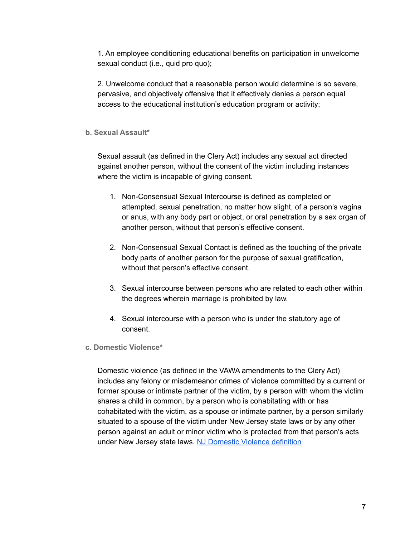1. An employee conditioning educational benefits on participation in unwelcome sexual conduct (i.e., quid pro quo);

2. Unwelcome conduct that a reasonable person would determine is so severe, pervasive, and objectively offensive that it effectively denies a person equal access to the educational institution's education program or activity;

#### <span id="page-6-0"></span>**b. Sexual Assault\***

Sexual assault (as defined in the Clery Act) includes any sexual act directed against another person, without the consent of the victim including instances where the victim is incapable of giving consent.

- 1. Non-Consensual Sexual Intercourse is defined as completed or attempted, sexual penetration, no matter how slight, of a person's vagina or anus, with any body part or object, or oral penetration by a sex organ of another person, without that person's effective consent.
- 2. Non-Consensual Sexual Contact is defined as the touching of the private body parts of another person for the purpose of sexual gratification, without that person's effective consent.
- 3. Sexual intercourse between persons who are related to each other within the degrees wherein marriage is prohibited by law.
- 4. Sexual intercourse with a person who is under the statutory age of consent.
- <span id="page-6-1"></span>**c. Domestic Violence\***

Domestic violence (as defined in the VAWA amendments to the Clery Act) includes any felony or misdemeanor crimes of violence committed by a current or former spouse or intimate partner of the victim, by a person with whom the victim shares a child in common, by a person who is cohabitating with or has cohabitated with the victim, as a spouse or intimate partner, by a person similarly situated to a spouse of the victim under New Jersey state laws or by any other person against an adult or minor victim who is protected from that person's acts under New Jersey state laws. NJ [Domestic](https://www.njsp.org/division/operations/domestic-violence-info.shtml) Violence definition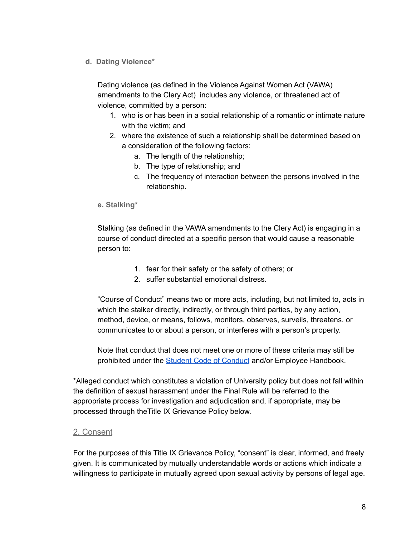<span id="page-7-0"></span>**d. Dating Violence\***

Dating violence (as defined in the Violence Against Women Act (VAWA) amendments to the Clery Act) includes any violence, or threatened act of violence, committed by a person:

- 1. who is or has been in a social relationship of a romantic or intimate nature with the victim; and
- 2. where the existence of such a relationship shall be determined based on a consideration of the following factors:
	- a. The length of the relationship;
	- b. The type of relationship; and
	- c. The frequency of interaction between the persons involved in the relationship.
- <span id="page-7-1"></span>**e. Stalking\***

Stalking (as defined in the VAWA amendments to the Clery Act) is engaging in a course of conduct directed at a specific person that would cause a reasonable person to:

- 1. fear for their safety or the safety of others; or
- 2. suffer substantial emotional distress.

"Course of Conduct" means two or more acts, including, but not limited to, acts in which the stalker directly, indirectly, or through third parties, by any action, method, device, or means, follows, monitors, observes, surveils, threatens, or communicates to or about a person, or interferes with a person's property.

Note that conduct that does not meet one or more of these criteria may still be prohibited under the Student Code of [Conduct](http://www.drew.edu/policy/policies/all-policies/clsa-policies/) and/or Employee Handbook.

\*Alleged conduct which constitutes a violation of University policy but does not fall within the definition of sexual harassment under the Final Rule will be referred to the appropriate process for investigation and adjudication and, if appropriate, may be processed through theTitle IX Grievance Policy below.

#### <span id="page-7-2"></span>2. Consent

For the purposes of this Title IX Grievance Policy, "consent" is clear, informed, and freely given. It is communicated by mutually understandable words or actions which indicate a willingness to participate in mutually agreed upon sexual activity by persons of legal age.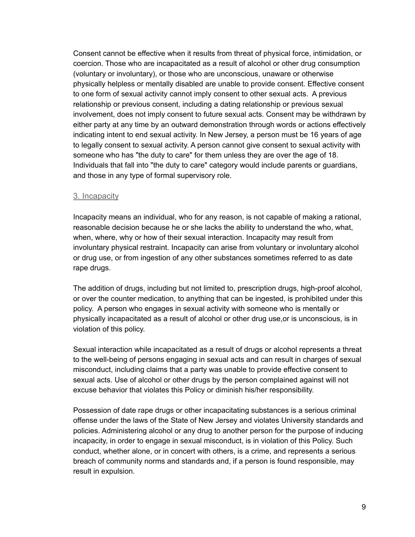Consent cannot be effective when it results from threat of physical force, intimidation, or coercion. Those who are incapacitated as a result of alcohol or other drug consumption (voluntary or involuntary), or those who are unconscious, unaware or otherwise physically helpless or mentally disabled are unable to provide consent. Effective consent to one form of sexual activity cannot imply consent to other sexual acts. A previous relationship or previous consent, including a dating relationship or previous sexual involvement, does not imply consent to future sexual acts. Consent may be withdrawn by either party at any time by an outward demonstration through words or actions effectively indicating intent to end sexual activity. In New Jersey, a person must be 16 years of age to legally consent to sexual activity. A person cannot give consent to sexual activity with someone who has "the duty to care" for them unless they are over the age of 18. Individuals that fall into "the duty to care" category would include parents or guardians, and those in any type of formal supervisory role.

#### <span id="page-8-0"></span>3. Incapacity

Incapacity means an individual, who for any reason, is not capable of making a rational, reasonable decision because he or she lacks the ability to understand the who, what, when, where, why or how of their sexual interaction. Incapacity may result from involuntary physical restraint. Incapacity can arise from voluntary or involuntary alcohol or drug use, or from ingestion of any other substances sometimes referred to as date rape drugs.

The addition of drugs, including but not limited to, prescription drugs, high-proof alcohol, or over the counter medication, to anything that can be ingested, is prohibited under this policy. A person who engages in sexual activity with someone who is mentally or physically incapacitated as a result of alcohol or other drug use,or is unconscious, is in violation of this policy.

Sexual interaction while incapacitated as a result of drugs or alcohol represents a threat to the well-being of persons engaging in sexual acts and can result in charges of sexual misconduct, including claims that a party was unable to provide effective consent to sexual acts. Use of alcohol or other drugs by the person complained against will not excuse behavior that violates this Policy or diminish his/her responsibility.

Possession of date rape drugs or other incapacitating substances is a serious criminal offense under the laws of the State of New Jersey and violates University standards and policies. Administering alcohol or any drug to another person for the purpose of inducing incapacity, in order to engage in sexual misconduct, is in violation of this Policy. Such conduct, whether alone, or in concert with others, is a crime, and represents a serious breach of community norms and standards and, if a person is found responsible, may result in expulsion.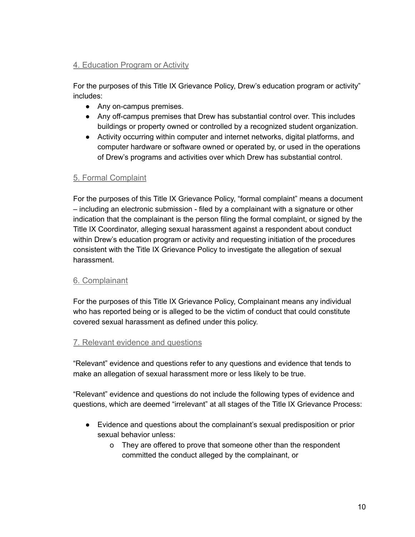# <span id="page-9-0"></span>4. Education Program or Activity

For the purposes of this Title IX Grievance Policy, Drew's education program or activity" includes:

- Any on-campus premises.
- Any off-campus premises that Drew has substantial control over. This includes buildings or property owned or controlled by a recognized student organization.
- Activity occurring within computer and internet networks, digital platforms, and computer hardware or software owned or operated by, or used in the operations of Drew's programs and activities over which Drew has substantial control.

# <span id="page-9-1"></span>5. Formal Complaint

For the purposes of this Title IX Grievance Policy, "formal complaint" means a document – including an electronic submission - filed by a complainant with a signature or other indication that the complainant is the person filing the formal complaint, or signed by the Title IX Coordinator, alleging sexual harassment against a respondent about conduct within Drew's education program or activity and requesting initiation of the procedures consistent with the Title IX Grievance Policy to investigate the allegation of sexual harassment.

# <span id="page-9-2"></span>6. Complainant

For the purposes of this Title IX Grievance Policy, Complainant means any individual who has reported being or is alleged to be the victim of conduct that could constitute covered sexual harassment as defined under this policy.

# <span id="page-9-3"></span>7. Relevant evidence and questions

"Relevant" evidence and questions refer to any questions and evidence that tends to make an allegation of sexual harassment more or less likely to be true.

"Relevant" evidence and questions do not include the following types of evidence and questions, which are deemed "irrelevant" at all stages of the Title IX Grievance Process:

- Evidence and questions about the complainant's sexual predisposition or prior sexual behavior unless:
	- o They are offered to prove that someone other than the respondent committed the conduct alleged by the complainant, or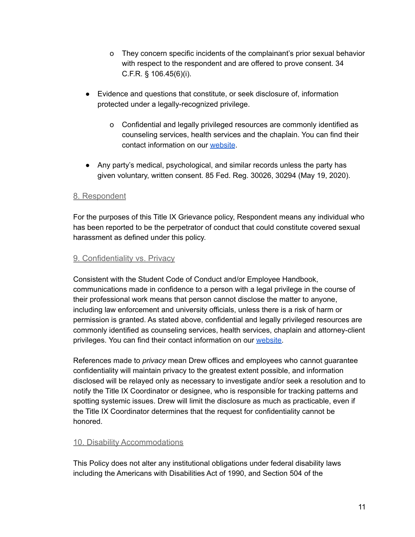- o They concern specific incidents of the complainant's prior sexual behavior with respect to the respondent and are offered to prove consent. 34 C.F.R. § 106.45(6)(i).
- Evidence and questions that constitute, or seek disclosure of, information protected under a legally-recognized privilege.
	- o Confidential and legally privileged resources are commonly identified as counseling services, health services and the chaplain. You can find their contact information on our [website](https://www.drew.edu/titleix-eeo-aa/about-us/file-a-report/).
- Any party's medical, psychological, and similar records unless the party has given voluntary, written consent. 85 Fed. Reg. 30026, 30294 (May 19, 2020).

#### <span id="page-10-0"></span>8. Respondent

For the purposes of this Title IX Grievance policy, Respondent means any individual who has been reported to be the perpetrator of conduct that could constitute covered sexual harassment as defined under this policy.

#### <span id="page-10-1"></span>9. Confidentiality vs. Privacy

Consistent with the Student Code of Conduct and/or Employee Handbook, communications made in confidence to a person with a legal privilege in the course of their professional work means that person cannot disclose the matter to anyone, including law enforcement and university officials, unless there is a risk of harm or permission is granted. As stated above, confidential and legally privileged resources are commonly identified as counseling services, health services, chaplain and attorney-client privileges. You can find their contact information on our [website.](https://www.drew.edu/titleix-eeo-aa/about-us/file-a-report/)

References made to *privacy* mean Drew offices and employees who cannot guarantee confidentiality will maintain privacy to the greatest extent possible, and information disclosed will be relayed only as necessary to investigate and/or seek a resolution and to notify the Title IX Coordinator or designee, who is responsible for tracking patterns and spotting systemic issues. Drew will limit the disclosure as much as practicable, even if the Title IX Coordinator determines that the request for confidentiality cannot be honored.

#### <span id="page-10-2"></span>10. Disability Accommodations

This Policy does not alter any institutional obligations under federal disability laws including the Americans with Disabilities Act of 1990, and Section 504 of the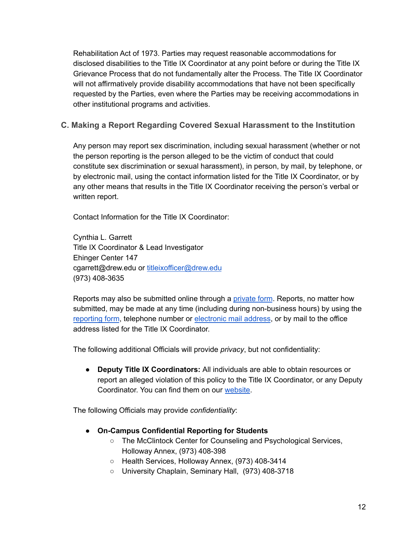Rehabilitation Act of 1973. Parties may request reasonable accommodations for disclosed disabilities to the Title IX Coordinator at any point before or during the Title IX Grievance Process that do not fundamentally alter the Process. The Title IX Coordinator will not affirmatively provide disability accommodations that have not been specifically requested by the Parties, even where the Parties may be receiving accommodations in other institutional programs and activities.

# <span id="page-11-0"></span>**C. Making a Report Regarding Covered Sexual Harassment to the Institution**

Any person may report sex discrimination, including sexual harassment (whether or not the person reporting is the person alleged to be the victim of conduct that could constitute sex discrimination or sexual harassment), in person, by mail, by telephone, or by electronic mail, using the contact information listed for the Title IX Coordinator, or by any other means that results in the Title IX Coordinator receiving the person's verbal or written report.

Contact Information for the Title IX Coordinator:

Cynthia L. Garrett Title IX Coordinator & Lead Investigator Ehinger Center 147 cgarrett@drew.edu or [titleixofficer@drew.edu](mailto:titleixofficer@drew.edu) (973) 408-3635

Reports may also be submitted online through a [private](https://cm.maxient.com/reportingform.php?DrewUniv&layout_id=2) form. Reports, no matter how submitted, may be made at any time (including during non-business hours) by using the [reporting](https://cm.maxient.com/reportingform.php?DrewUniv&layout_id=2) form, telephone number or [electronic](http://titleixofficer@drew.edu) mail address, or by mail to the office address listed for the Title IX Coordinator.

The following additional Officials will provide *privacy*, but not confidentiality:

● **Deputy Title IX Coordinators:** All individuals are able to obtain resources or report an alleged violation of this policy to the Title IX Coordinator, or any Deputy Coordinator. You can find them on our [website](https://www.drew.edu/titleix-eeo-aa/about-us/title-ix-staff/).

The following Officials may provide *confidentiality*:

- **● On-Campus Confidential Reporting for Students**
	- The McClintock Center for Counseling and Psychological Services, Holloway Annex, (973) 408-398
	- Health Services, Holloway Annex, (973) 408-3414
	- University Chaplain, Seminary Hall, (973) 408-3718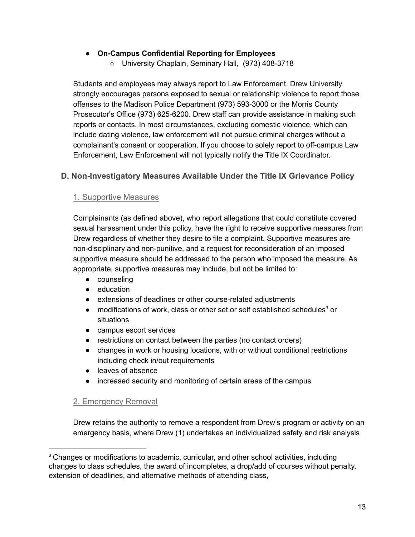#### ● **On-Campus Confidential Reporting for Employees**

○ University Chaplain, Seminary Hall, (973) 408-3718

Students and employees may always report to Law Enforcement. Drew University strongly encourages persons exposed to sexual or relationship violence to report those offenses to the Madison Police Department (973) 593-3000 or the Morris County Prosecutor's Office (973) 625-6200. Drew staff can provide assistance in making such reports or contacts. In most circumstances, excluding domestic violence, which can include dating violence, law enforcement will not pursue criminal charges without a complainant's consent or cooperation. If you choose to solely report to off-campus Law Enforcement, Law Enforcement will not typically notify the Title IX Coordinator.

# <span id="page-12-1"></span><span id="page-12-0"></span>**D. Non-Investigatory Measures Available Under the Title IX Grievance Policy**

#### 1. Supportive Measures

Complainants (as defined above), who report allegations that could constitute covered sexual harassment under this policy, have the right to receive supportive measures from Drew regardless of whether they desire to file a complaint. Supportive measures are non-disciplinary and non-punitive, and a request for reconsideration of an imposed supportive measure should be addressed to the person who imposed the measure. As appropriate, supportive measures may include, but not be limited to:

- counseling
- education
- extensions of deadlines or other course-related adjustments
- modifications of work, class or other set or self established schedules<sup>3</sup> or situations
- campus escort services
- restrictions on contact between the parties (no contact orders)
- changes in work or housing locations, with or without conditional restrictions including check in/out requirements
- leaves of absence
- increased security and monitoring of certain areas of the campus

#### <span id="page-12-2"></span>2. Emergency Removal

Drew retains the authority to remove a respondent from Drew's program or activity on an emergency basis, where Drew (1) undertakes an individualized safety and risk analysis

<sup>&</sup>lt;sup>3</sup> Changes or modifications to academic, curricular, and other school activities, including changes to class schedules, the award of incompletes, a drop/add of courses without penalty, extension of deadlines, and alternative methods of attending class,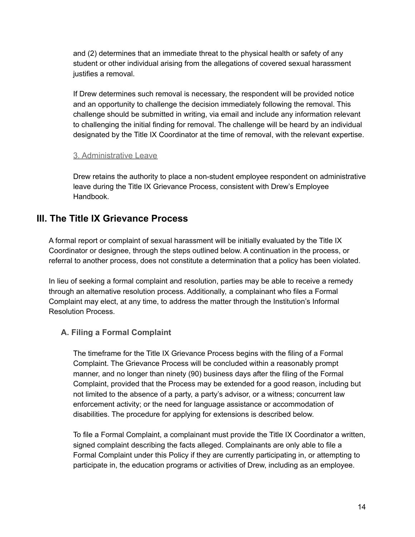and (2) determines that an immediate threat to the physical health or safety of any student or other individual arising from the allegations of covered sexual harassment justifies a removal.

If Drew determines such removal is necessary, the respondent will be provided notice and an opportunity to challenge the decision immediately following the removal. This challenge should be submitted in writing, via email and include any information relevant to challenging the initial finding for removal. The challenge will be heard by an individual designated by the Title IX Coordinator at the time of removal, with the relevant expertise.

#### <span id="page-13-0"></span>3. Administrative Leave

Drew retains the authority to place a non-student employee respondent on administrative leave during the Title IX Grievance Process, consistent with Drew's Employee Handbook.

# <span id="page-13-1"></span>**III. The Title IX Grievance Process**

A formal report or complaint of sexual harassment will be initially evaluated by the Title IX Coordinator or designee, through the steps outlined below. A continuation in the process, or referral to another process, does not constitute a determination that a policy has been violated.

In lieu of seeking a formal complaint and resolution, parties may be able to receive a remedy through an alternative resolution process. Additionally, a complainant who files a Formal Complaint may elect, at any time, to address the matter through the Institution's Informal Resolution Process.

# <span id="page-13-2"></span>**A. Filing a Formal Complaint**

The timeframe for the Title IX Grievance Process begins with the filing of a Formal Complaint. The Grievance Process will be concluded within a reasonably prompt manner, and no longer than ninety (90) business days after the filing of the Formal Complaint, provided that the Process may be extended for a good reason, including but not limited to the absence of a party, a party's advisor, or a witness; concurrent law enforcement activity; or the need for language assistance or accommodation of disabilities. The procedure for applying for extensions is described below.

To file a Formal Complaint, a complainant must provide the Title IX Coordinator a written, signed complaint describing the facts alleged. Complainants are only able to file a Formal Complaint under this Policy if they are currently participating in, or attempting to participate in, the education programs or activities of Drew, including as an employee.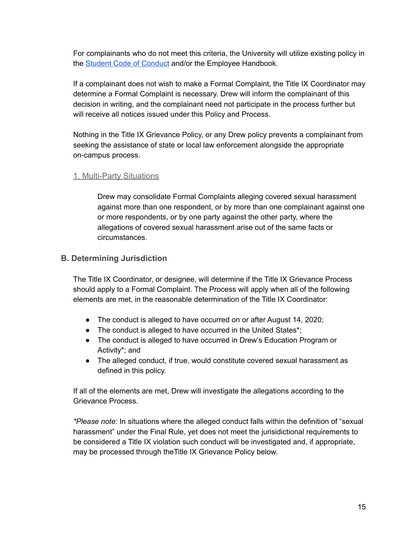For complainants who do not meet this criteria, the University will utilize existing policy in the **Student Code of [Conduct](http://www.drew.edu/policy/policies/all-policies/clsa-policies/) and/or the Employee Handbook.** 

If a complainant does not wish to make a Formal Complaint, the Title IX Coordinator may determine a Formal Complaint is necessary. Drew will inform the complainant of this decision in writing, and the complainant need not participate in the process further but will receive all notices issued under this Policy and Process.

Nothing in the Title IX Grievance Policy, or any Drew policy prevents a complainant from seeking the assistance of state or local law enforcement alongside the appropriate on-campus process.

#### <span id="page-14-0"></span>1. Multi-Party Situations

Drew may consolidate Formal Complaints alleging covered sexual harassment against more than one respondent, or by more than one complainant against one or more respondents, or by one party against the other party, where the allegations of covered sexual harassment arise out of the same facts or circumstances.

#### <span id="page-14-1"></span>**B. Determining Jurisdiction**

The Title IX Coordinator, or designee, will determine if the Title IX Grievance Process should apply to a Formal Complaint. The Process will apply when all of the following elements are met, in the reasonable determination of the Title IX Coordinator:

- The conduct is alleged to have occurred on or after August 14, 2020;
- The conduct is alleged to have occurred in the United States\*;
- The conduct is alleged to have occurred in Drew's Education Program or Activity\*; and
- The alleged conduct, if true, would constitute covered sexual harassment as defined in this policy.

If all of the elements are met, Drew will investigate the allegations according to the Grievance Process.

*\*Please note:* In situations where the alleged conduct falls within the definition of "sexual harassment" under the Final Rule, yet does not meet the jurisidictional requirements to be considered a Title IX violation such conduct will be investigated and, if appropriate, may be processed through theTitle IX Grievance Policy below.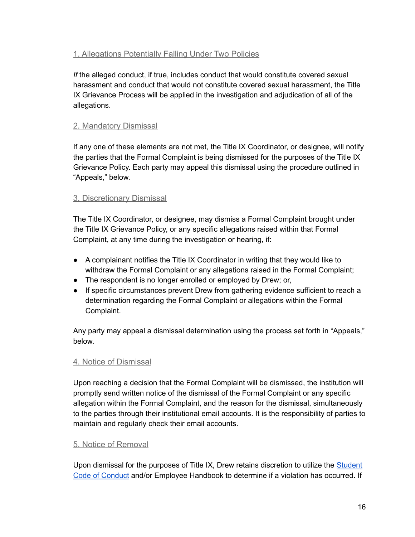# <span id="page-15-0"></span>1. Allegations Potentially Falling Under Two Policies

*If* the alleged conduct, if true, includes conduct that would constitute covered sexual harassment and conduct that would not constitute covered sexual harassment, the Title IX Grievance Process will be applied in the investigation and adjudication of all of the allegations.

# <span id="page-15-1"></span>2. Mandatory Dismissal

If any one of these elements are not met, the Title IX Coordinator, or designee, will notify the parties that the Formal Complaint is being dismissed for the purposes of the Title IX Grievance Policy. Each party may appeal this dismissal using the procedure outlined in "Appeals," below.

# <span id="page-15-2"></span>3. Discretionary Dismissal

The Title IX Coordinator, or designee, may dismiss a Formal Complaint brought under the Title IX Grievance Policy, or any specific allegations raised within that Formal Complaint, at any time during the investigation or hearing, if:

- A complainant notifies the Title IX Coordinator in writing that they would like to withdraw the Formal Complaint or any allegations raised in the Formal Complaint;
- The respondent is no longer enrolled or employed by Drew; or,
- If specific circumstances prevent Drew from gathering evidence sufficient to reach a determination regarding the Formal Complaint or allegations within the Formal Complaint.

Any party may appeal a dismissal determination using the process set forth in "Appeals," below.

# <span id="page-15-3"></span>4. Notice of Dismissal

Upon reaching a decision that the Formal Complaint will be dismissed, the institution will promptly send written notice of the dismissal of the Formal Complaint or any specific allegation within the Formal Complaint, and the reason for the dismissal, simultaneously to the parties through their institutional email accounts. It is the responsibility of parties to maintain and regularly check their email accounts.

# <span id="page-15-4"></span>5. Notice of Removal

Upon dismissal for the purposes of Title IX, Drew retains discretion to utilize the [Student](http://www.drew.edu/policy/policies/all-policies/clsa-policies/) Code of [Conduct](http://www.drew.edu/policy/policies/all-policies/clsa-policies/) and/or Employee Handbook to determine if a violation has occurred. If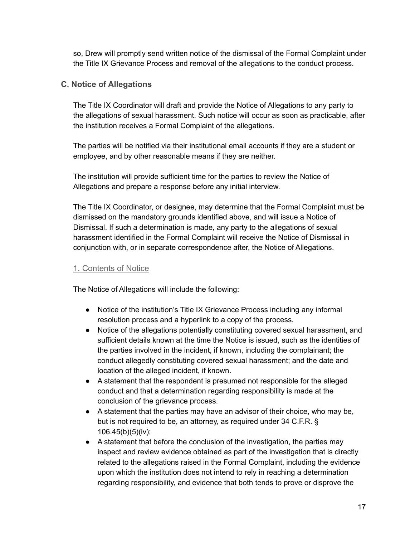so, Drew will promptly send written notice of the dismissal of the Formal Complaint under the Title IX Grievance Process and removal of the allegations to the conduct process.

#### <span id="page-16-0"></span>**C. Notice of Allegations**

The Title IX Coordinator will draft and provide the Notice of Allegations to any party to the allegations of sexual harassment. Such notice will occur as soon as practicable, after the institution receives a Formal Complaint of the allegations.

The parties will be notified via their institutional email accounts if they are a student or employee, and by other reasonable means if they are neither.

The institution will provide sufficient time for the parties to review the Notice of Allegations and prepare a response before any initial interview.

The Title IX Coordinator, or designee, may determine that the Formal Complaint must be dismissed on the mandatory grounds identified above, and will issue a Notice of Dismissal. If such a determination is made, any party to the allegations of sexual harassment identified in the Formal Complaint will receive the Notice of Dismissal in conjunction with, or in separate correspondence after, the Notice of Allegations.

### <span id="page-16-1"></span>1. Contents of Notice

The Notice of Allegations will include the following:

- Notice of the institution's Title IX Grievance Process including any informal resolution process and a hyperlink to a copy of the process.
- Notice of the allegations potentially constituting covered sexual harassment, and sufficient details known at the time the Notice is issued, such as the identities of the parties involved in the incident, if known, including the complainant; the conduct allegedly constituting covered sexual harassment; and the date and location of the alleged incident, if known.
- A statement that the respondent is presumed not responsible for the alleged conduct and that a determination regarding responsibility is made at the conclusion of the grievance process.
- $\bullet$  A statement that the parties may have an advisor of their choice, who may be, but is not required to be, an attorney, as required under 34 C.F.R. § 106.45(b)(5)(iv);
- A statement that before the conclusion of the investigation, the parties may inspect and review evidence obtained as part of the investigation that is directly related to the allegations raised in the Formal Complaint, including the evidence upon which the institution does not intend to rely in reaching a determination regarding responsibility, and evidence that both tends to prove or disprove the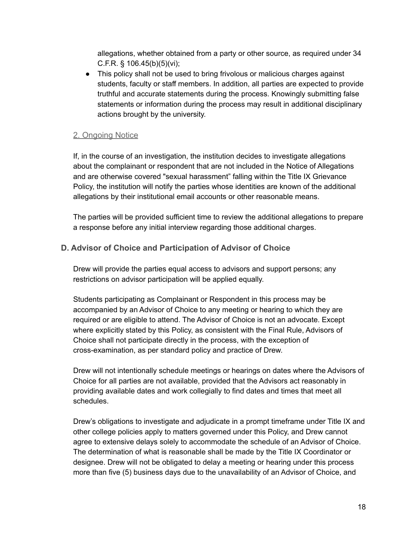allegations, whether obtained from a party or other source, as required under 34 C.F.R.  $\S$  106.45(b)(5)(vi);

● This policy shall not be used to bring frivolous or malicious charges against students, faculty or staff members. In addition, all parties are expected to provide truthful and accurate statements during the process. Knowingly submitting false statements or information during the process may result in additional disciplinary actions brought by the university.

#### <span id="page-17-0"></span>2. Ongoing Notice

If, in the course of an investigation, the institution decides to investigate allegations about the complainant or respondent that are not included in the Notice of Allegations and are otherwise covered "sexual harassment" falling within the Title IX Grievance Policy, the institution will notify the parties whose identities are known of the additional allegations by their institutional email accounts or other reasonable means.

The parties will be provided sufficient time to review the additional allegations to prepare a response before any initial interview regarding those additional charges.

# <span id="page-17-1"></span>**D. Advisor of Choice and Participation of Advisor of Choice**

Drew will provide the parties equal access to advisors and support persons; any restrictions on advisor participation will be applied equally.

Students participating as Complainant or Respondent in this process may be accompanied by an Advisor of Choice to any meeting or hearing to which they are required or are eligible to attend. The Advisor of Choice is not an advocate. Except where explicitly stated by this Policy, as consistent with the Final Rule, Advisors of Choice shall not participate directly in the process, with the exception of cross-examination, as per standard policy and practice of Drew.

Drew will not intentionally schedule meetings or hearings on dates where the Advisors of Choice for all parties are not available, provided that the Advisors act reasonably in providing available dates and work collegially to find dates and times that meet all schedules.

Drew's obligations to investigate and adjudicate in a prompt timeframe under Title IX and other college policies apply to matters governed under this Policy, and Drew cannot agree to extensive delays solely to accommodate the schedule of an Advisor of Choice. The determination of what is reasonable shall be made by the Title IX Coordinator or designee. Drew will not be obligated to delay a meeting or hearing under this process more than five (5) business days due to the unavailability of an Advisor of Choice, and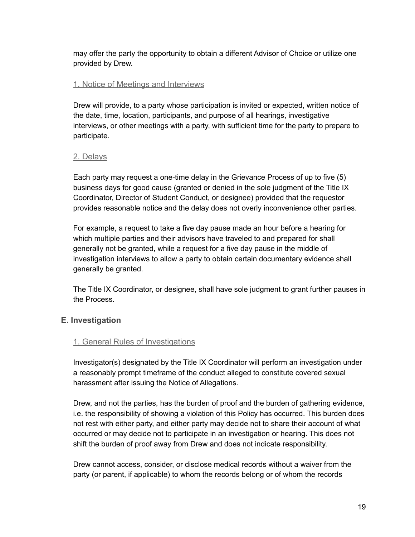may offer the party the opportunity to obtain a different Advisor of Choice or utilize one provided by Drew.

#### <span id="page-18-0"></span>1. Notice of Meetings and Interviews

Drew will provide, to a party whose participation is invited or expected, written notice of the date, time, location, participants, and purpose of all hearings, investigative interviews, or other meetings with a party, with sufficient time for the party to prepare to participate.

#### <span id="page-18-1"></span>2. Delays

Each party may request a one-time delay in the Grievance Process of up to five (5) business days for good cause (granted or denied in the sole judgment of the Title IX Coordinator, Director of Student Conduct, or designee) provided that the requestor provides reasonable notice and the delay does not overly inconvenience other parties.

For example, a request to take a five day pause made an hour before a hearing for which multiple parties and their advisors have traveled to and prepared for shall generally not be granted, while a request for a five day pause in the middle of investigation interviews to allow a party to obtain certain documentary evidence shall generally be granted.

The Title IX Coordinator, or designee, shall have sole judgment to grant further pauses in the Process.

# <span id="page-18-2"></span>**E. Investigation**

#### <span id="page-18-3"></span>1. General Rules of Investigations

Investigator(s) designated by the Title IX Coordinator will perform an investigation under a reasonably prompt timeframe of the conduct alleged to constitute covered sexual harassment after issuing the Notice of Allegations.

Drew, and not the parties, has the burden of proof and the burden of gathering evidence, i.e. the responsibility of showing a violation of this Policy has occurred. This burden does not rest with either party, and either party may decide not to share their account of what occurred or may decide not to participate in an investigation or hearing. This does not shift the burden of proof away from Drew and does not indicate responsibility.

Drew cannot access, consider, or disclose medical records without a waiver from the party (or parent, if applicable) to whom the records belong or of whom the records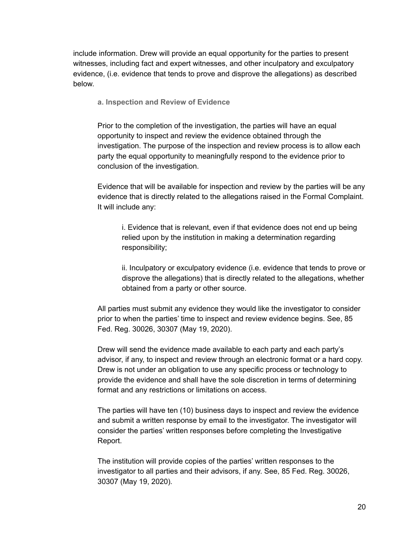<span id="page-19-0"></span>include information. Drew will provide an equal opportunity for the parties to present witnesses, including fact and expert witnesses, and other inculpatory and exculpatory evidence, (i.e. evidence that tends to prove and disprove the allegations) as described below.

**a. Inspection and Review of Evidence**

Prior to the completion of the investigation, the parties will have an equal opportunity to inspect and review the evidence obtained through the investigation. The purpose of the inspection and review process is to allow each party the equal opportunity to meaningfully respond to the evidence prior to conclusion of the investigation.

Evidence that will be available for inspection and review by the parties will be any evidence that is directly related to the allegations raised in the Formal Complaint. It will include any:

i. Evidence that is relevant, even if that evidence does not end up being relied upon by the institution in making a determination regarding responsibility;

ii. Inculpatory or exculpatory evidence (i.e. evidence that tends to prove or disprove the allegations) that is directly related to the allegations, whether obtained from a party or other source.

All parties must submit any evidence they would like the investigator to consider prior to when the parties' time to inspect and review evidence begins. See, 85 Fed. Reg. 30026, 30307 (May 19, 2020).

Drew will send the evidence made available to each party and each party's advisor, if any, to inspect and review through an electronic format or a hard copy. Drew is not under an obligation to use any specific process or technology to provide the evidence and shall have the sole discretion in terms of determining format and any restrictions or limitations on access.

The parties will have ten (10) business days to inspect and review the evidence and submit a written response by email to the investigator. The investigator will consider the parties' written responses before completing the Investigative Report.

The institution will provide copies of the parties' written responses to the investigator to all parties and their advisors, if any. See, 85 Fed. Reg. 30026, 30307 (May 19, 2020)*.*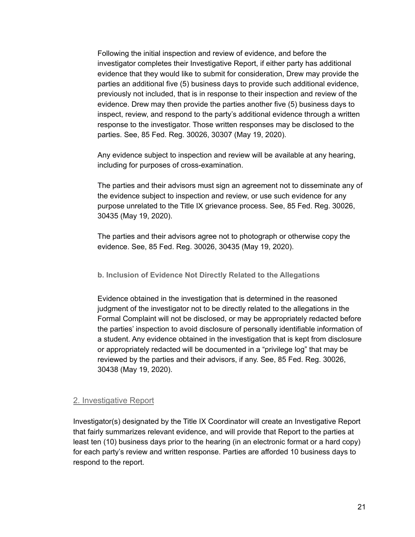Following the initial inspection and review of evidence, and before the investigator completes their Investigative Report, if either party has additional evidence that they would like to submit for consideration, Drew may provide the parties an additional five (5) business days to provide such additional evidence, previously not included, that is in response to their inspection and review of the evidence. Drew may then provide the parties another five (5) business days to inspect, review, and respond to the party's additional evidence through a written response to the investigator. Those written responses may be disclosed to the parties. See, 85 Fed. Reg. 30026, 30307 (May 19, 2020).

Any evidence subject to inspection and review will be available at any hearing, including for purposes of cross-examination.

The parties and their advisors must sign an agreement not to disseminate any of the evidence subject to inspection and review, or use such evidence for any purpose unrelated to the Title IX grievance process. See, 85 Fed. Reg. 30026, 30435 (May 19, 2020).

The parties and their advisors agree not to photograph or otherwise copy the evidence. See, 85 Fed. Reg. 30026, 30435 (May 19, 2020).

<span id="page-20-0"></span>**b. Inclusion of Evidence Not Directly Related to the Allegations**

Evidence obtained in the investigation that is determined in the reasoned judgment of the investigator not to be directly related to the allegations in the Formal Complaint will not be disclosed, or may be appropriately redacted before the parties' inspection to avoid disclosure of personally identifiable information of a student. Any evidence obtained in the investigation that is kept from disclosure or appropriately redacted will be documented in a "privilege log" that may be reviewed by the parties and their advisors, if any. See, 85 Fed. Reg. 30026, 30438 (May 19, 2020).

#### <span id="page-20-1"></span>2. Investigative Report

Investigator(s) designated by the Title IX Coordinator will create an Investigative Report that fairly summarizes relevant evidence, and will provide that Report to the parties at least ten (10) business days prior to the hearing (in an electronic format or a hard copy) for each party's review and written response. Parties are afforded 10 business days to respond to the report.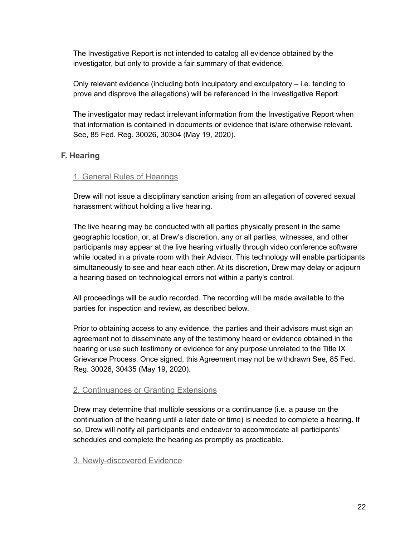The Investigative Report is not intended to catalog all evidence obtained by the investigator, but only to provide a fair summary of that evidence.

Only relevant evidence (including both inculpatory and exculpatory – i.e. tending to prove and disprove the allegations) will be referenced in the Investigative Report.

The investigator may redact irrelevant information from the Investigative Report when that information is contained in documents or evidence that is/are otherwise relevant. See, 85 Fed. Reg. 30026, 30304 (May 19, 2020).

# <span id="page-21-1"></span><span id="page-21-0"></span>**F. Hearing**

# 1. General Rules of Hearings

Drew will not issue a disciplinary sanction arising from an allegation of covered sexual harassment without holding a live hearing.

The live hearing may be conducted with all parties physically present in the same geographic location, or, at Drew's discretion, any or all parties, witnesses, and other participants may appear at the live hearing virtually through video conference software while located in a private room with their Advisor. This technology will enable participants simultaneously to see and hear each other. At its discretion, Drew may delay or adjourn a hearing based on technological errors not within a party's control.

All proceedings will be audio recorded. The recording will be made available to the parties for inspection and review, as described below.

Prior to obtaining access to any evidence, the parties and their advisors must sign an agreement not to disseminate any of the testimony heard or evidence obtained in the hearing or use such testimony or evidence for any purpose unrelated to the Title IX Grievance Process. Once signed, this Agreement may not be withdrawn See, 85 Fed. Reg. 30026, 30435 (May 19, 2020).

# <span id="page-21-2"></span>2. Continuances or Granting Extensions

Drew may determine that multiple sessions or a continuance (i.e. a pause on the continuation of the hearing until a later date or time) is needed to complete a hearing. If so, Drew will notify all participants and endeavor to accommodate all participants' schedules and complete the hearing as promptly as practicable.

# <span id="page-21-3"></span>3. Newly-discovered Evidence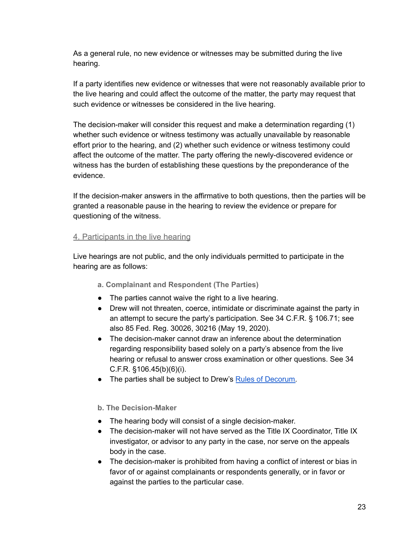As a general rule, no new evidence or witnesses may be submitted during the live hearing.

If a party identifies new evidence or witnesses that were not reasonably available prior to the live hearing and could affect the outcome of the matter, the party may request that such evidence or witnesses be considered in the live hearing.

The decision-maker will consider this request and make a determination regarding (1) whether such evidence or witness testimony was actually unavailable by reasonable effort prior to the hearing, and (2) whether such evidence or witness testimony could affect the outcome of the matter. The party offering the newly-discovered evidence or witness has the burden of establishing these questions by the preponderance of the evidence.

If the decision-maker answers in the affirmative to both questions, then the parties will be granted a reasonable pause in the hearing to review the evidence or prepare for questioning of the witness.

#### <span id="page-22-0"></span>4. Participants in the live hearing

<span id="page-22-1"></span>Live hearings are not public, and the only individuals permitted to participate in the hearing are as follows:

- **a. Complainant and Respondent (The Parties)**
- The parties cannot waive the right to a live hearing.
- Drew will not threaten, coerce, intimidate or discriminate against the party in an attempt to secure the party's participation. See 34 C.F.R. § 106.71; see also 85 Fed. Reg. 30026, 30216 (May 19, 2020).
- The decision-maker cannot draw an inference about the determination regarding responsibility based solely on a party's absence from the live hearing or refusal to answer cross examination or other questions. See 34 C.F.R. §106.45(b)(6)(i).
- The parties shall be subject to Drew's Rules of [Decorum.](https://www.drew.edu/titleix-eeo-aa/about-us/sexual-misconduct-policy-and-procedures/decorum/)

<span id="page-22-2"></span>**b. The Decision-Maker**

- The hearing body will consist of a single decision-maker.
- $\bullet$  The decision-maker will not have served as the Title IX Coordinator. Title IX investigator, or advisor to any party in the case, nor serve on the appeals body in the case.
- The decision-maker is prohibited from having a conflict of interest or bias in favor of or against complainants or respondents generally, or in favor or against the parties to the particular case.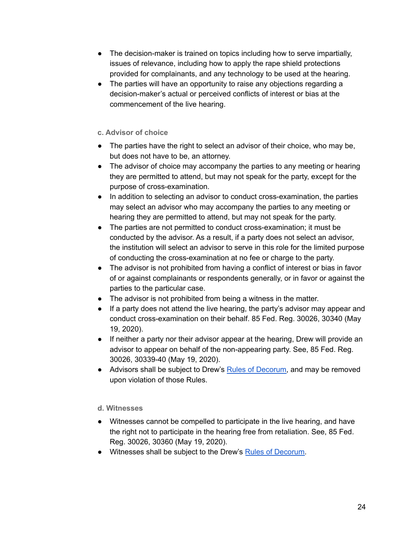- The decision-maker is trained on topics including how to serve impartially, issues of relevance, including how to apply the rape shield protections provided for complainants, and any technology to be used at the hearing.
- The parties will have an opportunity to raise any objections regarding a decision-maker's actual or perceived conflicts of interest or bias at the commencement of the live hearing.

#### <span id="page-23-0"></span>**c. Advisor of choice**

- The parties have the right to select an advisor of their choice, who may be, but does not have to be, an attorney.
- The advisor of choice may accompany the parties to any meeting or hearing they are permitted to attend, but may not speak for the party, except for the purpose of cross-examination.
- In addition to selecting an advisor to conduct cross-examination, the parties may select an advisor who may accompany the parties to any meeting or hearing they are permitted to attend, but may not speak for the party.
- The parties are not permitted to conduct cross-examination; it must be conducted by the advisor. As a result, if a party does not select an advisor, the institution will select an advisor to serve in this role for the limited purpose of conducting the cross-examination at no fee or charge to the party.
- The advisor is not prohibited from having a conflict of interest or bias in favor of or against complainants or respondents generally, or in favor or against the parties to the particular case.
- The advisor is not prohibited from being a witness in the matter.
- If a party does not attend the live hearing, the party's advisor may appear and conduct cross-examination on their behalf. 85 Fed. Reg. 30026, 30340 (May 19, 2020).
- If neither a party nor their advisor appear at the hearing, Drew will provide an advisor to appear on behalf of the non-appearing party. See, 85 Fed. Reg. 30026, 30339-40 (May 19, 2020).
- Advisors shall be subject to Drew's Rules of [Decorum,](https://www.drew.edu/titleix-eeo-aa/about-us/sexual-misconduct-policy-and-procedures/decorum/) and may be removed upon violation of those Rules.

# <span id="page-23-1"></span>**d. Witnesses**

- Witnesses cannot be compelled to participate in the live hearing, and have the right not to participate in the hearing free from retaliation. See, 85 Fed. Reg. 30026, 30360 (May 19, 2020).
- Witnesses shall be subject to the Drew's Rules of [Decorum.](https://www.drew.edu/titleix-eeo-aa/about-us/sexual-misconduct-policy-and-procedures/decorum/)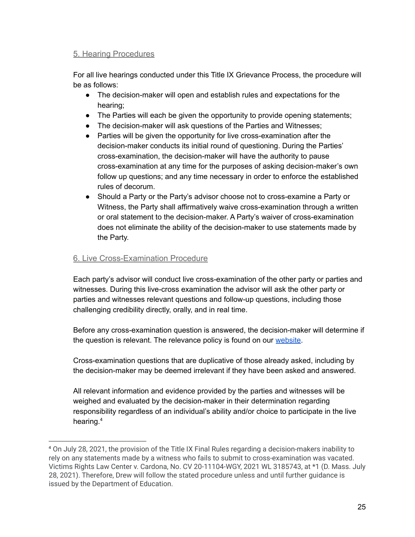### <span id="page-24-0"></span>5. Hearing Procedures

For all live hearings conducted under this Title IX Grievance Process, the procedure will be as follows:

- The decision-maker will open and establish rules and expectations for the hearing;
- The Parties will each be given the opportunity to provide opening statements;
- The decision-maker will ask questions of the Parties and Witnesses;
- Parties will be given the opportunity for live cross-examination after the decision-maker conducts its initial round of questioning. During the Parties' cross-examination, the decision-maker will have the authority to pause cross-examination at any time for the purposes of asking decision-maker's own follow up questions; and any time necessary in order to enforce the established rules of decorum.
- Should a Party or the Party's advisor choose not to cross-examine a Party or Witness, the Party shall affirmatively waive cross-examination through a written or oral statement to the decision-maker. A Party's waiver of cross-examination does not eliminate the ability of the decision-maker to use statements made by the Party.

#### <span id="page-24-1"></span>6. Live Cross-Examination Procedure

Each party's advisor will conduct live cross-examination of the other party or parties and witnesses. During this live-cross examination the advisor will ask the other party or parties and witnesses relevant questions and follow-up questions, including those challenging credibility directly, orally, and in real time.

Before any cross-examination question is answered, the decision-maker will determine if the question is relevant. The relevance policy is found on our [website](https://www.drew.edu/titleix-eeo-aa/about-us/sexual-misconduct-policy-and-procedures/relevance-policy/).

Cross-examination questions that are duplicative of those already asked, including by the decision-maker may be deemed irrelevant if they have been asked and answered.

All relevant information and evidence provided by the parties and witnesses will be weighed and evaluated by the decision-maker in their determination regarding responsibility regardless of an individual's ability and/or choice to participate in the live hearing. 4

<sup>4</sup> On July 28, 2021, the provision of the Title IX Final Rules regarding a decision-makers inability to rely on any statements made by a witness who fails to submit to cross-examination was vacated. Victims Rights Law Center v. Cardona, No. CV 20-11104-WGY, 2021 WL 3185743, at \*1 (D. Mass. July 28, 2021). Therefore, Drew will follow the stated procedure unless and until further guidance is issued by the Department of Education.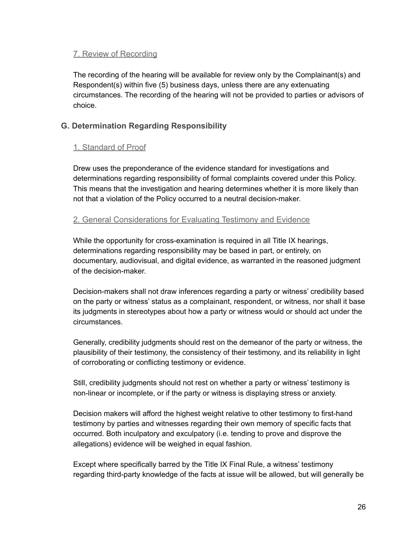#### <span id="page-25-0"></span>7. Review of Recording

The recording of the hearing will be available for review only by the Complainant(s) and Respondent(s) within five (5) business days, unless there are any extenuating circumstances. The recording of the hearing will not be provided to parties or advisors of choice.

# <span id="page-25-1"></span>**G. Determination Regarding Responsibility**

#### <span id="page-25-2"></span>1. Standard of Proof

Drew uses the preponderance of the evidence standard for investigations and determinations regarding responsibility of formal complaints covered under this Policy. This means that the investigation and hearing determines whether it is more likely than not that a violation of the Policy occurred to a neutral decision-maker.

#### <span id="page-25-3"></span>2. General Considerations for Evaluating Testimony and Evidence

While the opportunity for cross-examination is required in all Title IX hearings, determinations regarding responsibility may be based in part, or entirely, on documentary, audiovisual, and digital evidence, as warranted in the reasoned judgment of the decision-maker.

Decision-makers shall not draw inferences regarding a party or witness' credibility based on the party or witness' status as a complainant, respondent, or witness, nor shall it base its judgments in stereotypes about how a party or witness would or should act under the circumstances.

Generally, credibility judgments should rest on the demeanor of the party or witness, the plausibility of their testimony, the consistency of their testimony, and its reliability in light of corroborating or conflicting testimony or evidence.

Still, credibility judgments should not rest on whether a party or witness' testimony is non-linear or incomplete, or if the party or witness is displaying stress or anxiety.

Decision makers will afford the highest weight relative to other testimony to first-hand testimony by parties and witnesses regarding their own memory of specific facts that occurred. Both inculpatory and exculpatory (i.e. tending to prove and disprove the allegations) evidence will be weighed in equal fashion.

Except where specifically barred by the Title IX Final Rule, a witness' testimony regarding third-party knowledge of the facts at issue will be allowed, but will generally be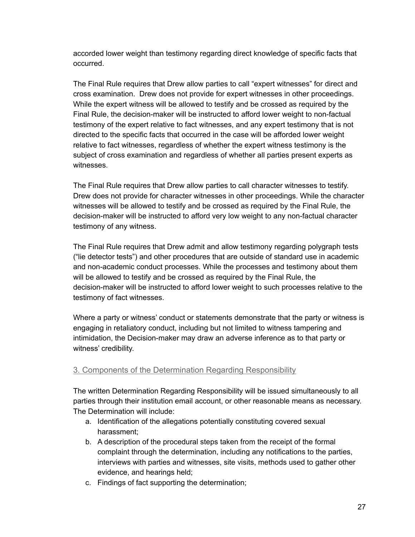accorded lower weight than testimony regarding direct knowledge of specific facts that occurred.

The Final Rule requires that Drew allow parties to call "expert witnesses" for direct and cross examination. Drew does not provide for expert witnesses in other proceedings. While the expert witness will be allowed to testify and be crossed as required by the Final Rule, the decision-maker will be instructed to afford lower weight to non-factual testimony of the expert relative to fact witnesses, and any expert testimony that is not directed to the specific facts that occurred in the case will be afforded lower weight relative to fact witnesses, regardless of whether the expert witness testimony is the subject of cross examination and regardless of whether all parties present experts as witnesses.

The Final Rule requires that Drew allow parties to call character witnesses to testify. Drew does not provide for character witnesses in other proceedings. While the character witnesses will be allowed to testify and be crossed as required by the Final Rule, the decision-maker will be instructed to afford very low weight to any non-factual character testimony of any witness.

The Final Rule requires that Drew admit and allow testimony regarding polygraph tests ("lie detector tests") and other procedures that are outside of standard use in academic and non-academic conduct processes. While the processes and testimony about them will be allowed to testify and be crossed as required by the Final Rule, the decision-maker will be instructed to afford lower weight to such processes relative to the testimony of fact witnesses.

Where a party or witness' conduct or statements demonstrate that the party or witness is engaging in retaliatory conduct, including but not limited to witness tampering and intimidation, the Decision-maker may draw an adverse inference as to that party or witness' credibility.

# <span id="page-26-0"></span>3. Components of the Determination Regarding Responsibility

The written Determination Regarding Responsibility will be issued simultaneously to all parties through their institution email account, or other reasonable means as necessary. The Determination will include:

- a. Identification of the allegations potentially constituting covered sexual harassment;
- b. A description of the procedural steps taken from the receipt of the formal complaint through the determination, including any notifications to the parties, interviews with parties and witnesses, site visits, methods used to gather other evidence, and hearings held;
- c. Findings of fact supporting the determination;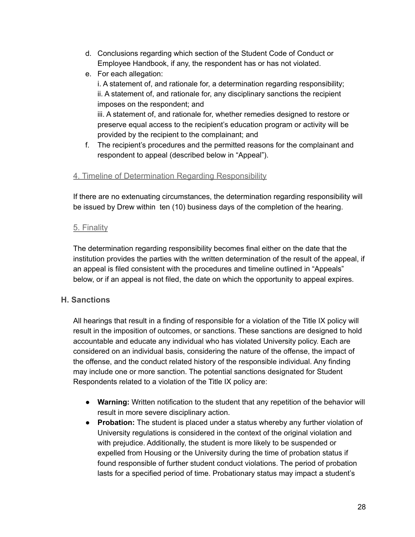- d. Conclusions regarding which section of the Student Code of Conduct or Employee Handbook, if any, the respondent has or has not violated.
- e. For each allegation: i. A statement of, and rationale for, a determination regarding responsibility; ii. A statement of, and rationale for, any disciplinary sanctions the recipient imposes on the respondent; and iii. A statement of, and rationale for, whether remedies designed to restore or preserve equal access to the recipient's education program or activity will be provided by the recipient to the complainant; and
- f. The recipient's procedures and the permitted reasons for the complainant and respondent to appeal (described below in "Appeal").

# <span id="page-27-0"></span>4. Timeline of Determination Regarding Responsibility

If there are no extenuating circumstances, the determination regarding responsibility will be issued by Drew within ten (10) business days of the completion of the hearing.

#### <span id="page-27-1"></span>5. Finality

The determination regarding responsibility becomes final either on the date that the institution provides the parties with the written determination of the result of the appeal, if an appeal is filed consistent with the procedures and timeline outlined in "Appeals" below, or if an appeal is not filed, the date on which the opportunity to appeal expires.

# <span id="page-27-2"></span>**H. Sanctions**

All hearings that result in a finding of responsible for a violation of the Title IX policy will result in the imposition of outcomes, or sanctions. These sanctions are designed to hold accountable and educate any individual who has violated University policy. Each are considered on an individual basis, considering the nature of the offense, the impact of the offense, and the conduct related history of the responsible individual. Any finding may include one or more sanction. The potential sanctions designated for Student Respondents related to a violation of the Title IX policy are:

- **Warning:** Written notification to the student that any repetition of the behavior will result in more severe disciplinary action.
- **Probation:** The student is placed under a status whereby any further violation of University regulations is considered in the context of the original violation and with prejudice. Additionally, the student is more likely to be suspended or expelled from Housing or the University during the time of probation status if found responsible of further student conduct violations. The period of probation lasts for a specified period of time. Probationary status may impact a student's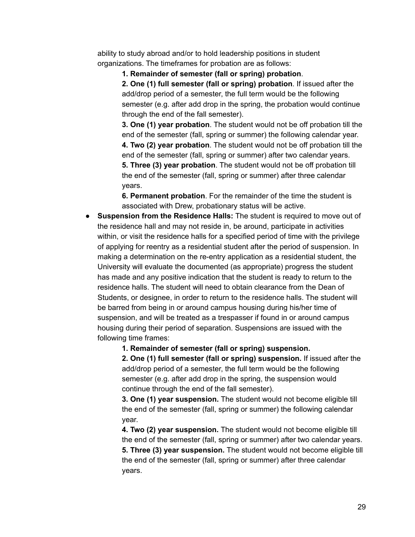ability to study abroad and/or to hold leadership positions in student organizations. The timeframes for probation are as follows:

**1. Remainder of semester (fall or spring) probation**.

**2. One (1) full semester (fall or spring) probation**. If issued after the add/drop period of a semester, the full term would be the following semester (e.g. after add drop in the spring, the probation would continue through the end of the fall semester).

**3. One (1) year probation**. The student would not be off probation till the end of the semester (fall, spring or summer) the following calendar year. **4. Two (2) year probation**. The student would not be off probation till the end of the semester (fall, spring or summer) after two calendar years. **5. Three (3) year probation**. The student would not be off probation till the end of the semester (fall, spring or summer) after three calendar years.

**6. Permanent probation**. For the remainder of the time the student is associated with Drew, probationary status will be active.

● **Suspension from the Residence Halls:** The student is required to move out of the residence hall and may not reside in, be around, participate in activities within, or visit the residence halls for a specified period of time with the privilege of applying for reentry as a residential student after the period of suspension. In making a determination on the re-entry application as a residential student, the University will evaluate the documented (as appropriate) progress the student has made and any positive indication that the student is ready to return to the residence halls. The student will need to obtain clearance from the Dean of Students, or designee, in order to return to the residence halls. The student will be barred from being in or around campus housing during his/her time of suspension, and will be treated as a trespasser if found in or around campus housing during their period of separation. Suspensions are issued with the following time frames:

**1. Remainder of semester (fall or spring) suspension.**

**2. One (1) full semester (fall or spring) suspension.** If issued after the add/drop period of a semester, the full term would be the following semester (e.g. after add drop in the spring, the suspension would continue through the end of the fall semester).

**3. One (1) year suspension.** The student would not become eligible till the end of the semester (fall, spring or summer) the following calendar year.

**4. Two (2) year suspension.** The student would not become eligible till the end of the semester (fall, spring or summer) after two calendar years. **5. Three (3) year suspension.** The student would not become eligible till the end of the semester (fall, spring or summer) after three calendar years.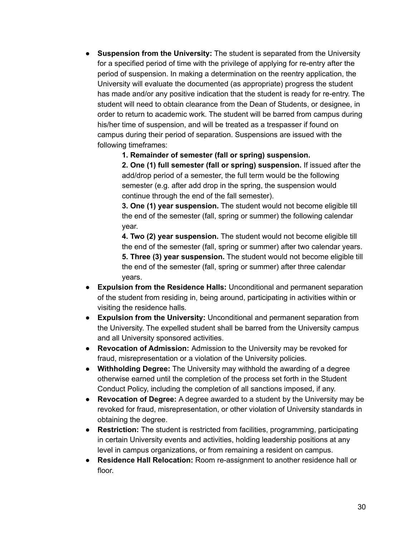● **Suspension from the University:** The student is separated from the University for a specified period of time with the privilege of applying for re-entry after the period of suspension. In making a determination on the reentry application, the University will evaluate the documented (as appropriate) progress the student has made and/or any positive indication that the student is ready for re-entry. The student will need to obtain clearance from the Dean of Students, or designee, in order to return to academic work. The student will be barred from campus during his/her time of suspension, and will be treated as a trespasser if found on campus during their period of separation. Suspensions are issued with the following timeframes:

**1. Remainder of semester (fall or spring) suspension.**

**2. One (1) full semester (fall or spring) suspension.** If issued after the add/drop period of a semester, the full term would be the following semester (e.g. after add drop in the spring, the suspension would continue through the end of the fall semester).

**3. One (1) year suspension.** The student would not become eligible till the end of the semester (fall, spring or summer) the following calendar year.

**4. Two (2) year suspension.** The student would not become eligible till the end of the semester (fall, spring or summer) after two calendar years. **5. Three (3) year suspension.** The student would not become eligible till the end of the semester (fall, spring or summer) after three calendar years.

- **Expulsion from the Residence Halls:** Unconditional and permanent separation of the student from residing in, being around, participating in activities within or visiting the residence halls.
- **Expulsion from the University:** Unconditional and permanent separation from the University. The expelled student shall be barred from the University campus and all University sponsored activities.
- **Revocation of Admission:** Admission to the University may be revoked for fraud, misrepresentation or a violation of the University policies.
- **Withholding Degree:** The University may withhold the awarding of a degree otherwise earned until the completion of the process set forth in the Student Conduct Policy, including the completion of all sanctions imposed, if any.
- **Revocation of Degree:** A degree awarded to a student by the University may be revoked for fraud, misrepresentation, or other violation of University standards in obtaining the degree.
- **Restriction:** The student is restricted from facilities, programming, participating in certain University events and activities, holding leadership positions at any level in campus organizations, or from remaining a resident on campus.
- **Residence Hall Relocation:** Room re-assignment to another residence hall or floor.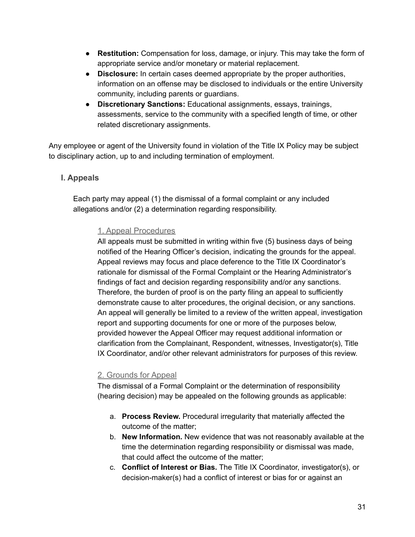- **Restitution:** Compensation for loss, damage, or injury. This may take the form of appropriate service and/or monetary or material replacement.
- **Disclosure:** In certain cases deemed appropriate by the proper authorities, information on an offense may be disclosed to individuals or the entire University community, including parents or guardians.
- **Discretionary Sanctions:** Educational assignments, essays, trainings, assessments, service to the community with a specified length of time, or other related discretionary assignments.

Any employee or agent of the University found in violation of the Title IX Policy may be subject to disciplinary action, up to and including termination of employment.

# <span id="page-30-0"></span>**I. Appeals**

<span id="page-30-1"></span>Each party may appeal (1) the dismissal of a formal complaint or any included allegations and/or (2) a determination regarding responsibility.

#### 1. Appeal Procedures

All appeals must be submitted in writing within five (5) business days of being notified of the Hearing Officer's decision, indicating the grounds for the appeal. Appeal reviews may focus and place deference to the Title IX Coordinator's rationale for dismissal of the Formal Complaint or the Hearing Administrator's findings of fact and decision regarding responsibility and/or any sanctions. Therefore, the burden of proof is on the party filing an appeal to sufficiently demonstrate cause to alter procedures, the original decision, or any sanctions. An appeal will generally be limited to a review of the written appeal, investigation report and supporting documents for one or more of the purposes below, provided however the Appeal Officer may request additional information or clarification from the Complainant, Respondent, witnesses, Investigator(s), Title IX Coordinator, and/or other relevant administrators for purposes of this review.

#### <span id="page-30-2"></span>2. Grounds for Appeal

The dismissal of a Formal Complaint or the determination of responsibility (hearing decision) may be appealed on the following grounds as applicable:

- a. **Process Review.** Procedural irregularity that materially affected the outcome of the matter;
- b. **New Information.** New evidence that was not reasonably available at the time the determination regarding responsibility or dismissal was made, that could affect the outcome of the matter;
- c. **Conflict of Interest or Bias.** The Title IX Coordinator, investigator(s), or decision-maker(s) had a conflict of interest or bias for or against an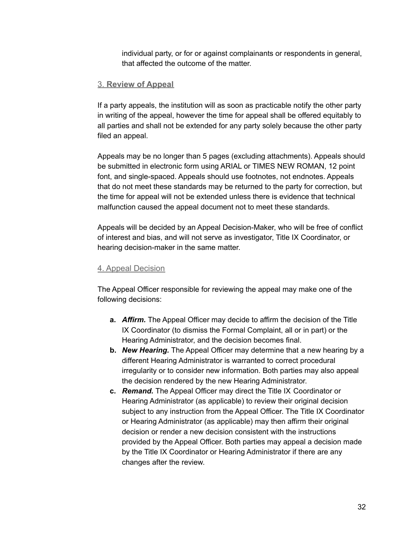individual party, or for or against complainants or respondents in general, that affected the outcome of the matter.

#### <span id="page-31-0"></span>3. **Review of Appeal**

If a party appeals, the institution will as soon as practicable notify the other party in writing of the appeal, however the time for appeal shall be offered equitably to all parties and shall not be extended for any party solely because the other party filed an appeal.

Appeals may be no longer than 5 pages (excluding attachments). Appeals should be submitted in electronic form using ARIAL or TIMES NEW ROMAN, 12 point font, and single-spaced. Appeals should use footnotes, not endnotes. Appeals that do not meet these standards may be returned to the party for correction, but the time for appeal will not be extended unless there is evidence that technical malfunction caused the appeal document not to meet these standards.

Appeals will be decided by an Appeal Decision-Maker, who will be free of conflict of interest and bias, and will not serve as investigator, Title IX Coordinator, or hearing decision-maker in the same matter.

#### <span id="page-31-1"></span>4. Appeal Decision

The Appeal Officer responsible for reviewing the appeal may make one of the following decisions:

- **a.** *Affirm.* The Appeal Officer may decide to affirm the decision of the Title IX Coordinator (to dismiss the Formal Complaint, all or in part) or the Hearing Administrator, and the decision becomes final.
- **b.** *New Hearing.* The Appeal Officer may determine that a new hearing by a different Hearing Administrator is warranted to correct procedural irregularity or to consider new information. Both parties may also appeal the decision rendered by the new Hearing Administrator.
- **c.** *Remand.* The Appeal Officer may direct the Title IX Coordinator or Hearing Administrator (as applicable) to review their original decision subject to any instruction from the Appeal Officer. The Title IX Coordinator or Hearing Administrator (as applicable) may then affirm their original decision or render a new decision consistent with the instructions provided by the Appeal Officer. Both parties may appeal a decision made by the Title IX Coordinator or Hearing Administrator if there are any changes after the review.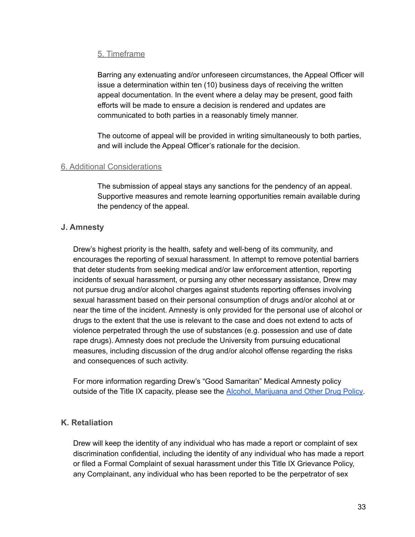#### <span id="page-32-0"></span>5. Timeframe

Barring any extenuating and/or unforeseen circumstances, the Appeal Officer will issue a determination within ten (10) business days of receiving the written appeal documentation. In the event where a delay may be present, good faith efforts will be made to ensure a decision is rendered and updates are communicated to both parties in a reasonably timely manner.

The outcome of appeal will be provided in writing simultaneously to both parties, and will include the Appeal Officer's rationale for the decision.

#### <span id="page-32-1"></span>6. Additional Considerations

The submission of appeal stays any sanctions for the pendency of an appeal. Supportive measures and remote learning opportunities remain available during the pendency of the appeal.

# <span id="page-32-2"></span>**J. Amnesty**

Drew's highest priority is the health, safety and well-beng of its community, and encourages the reporting of sexual harassment. In attempt to remove potential barriers that deter students from seeking medical and/or law enforcement attention, reporting incidents of sexual harassment, or pursing any other necessary assistance, Drew may not pursue drug and/or alcohol charges against students reporting offenses involving sexual harassment based on their personal consumption of drugs and/or alcohol at or near the time of the incident. Amnesty is only provided for the personal use of alcohol or drugs to the extent that the use is relevant to the case and does not extend to acts of violence perpetrated through the use of substances (e.g. possession and use of date rape drugs). Amnesty does not preclude the University from pursuing educational measures, including discussion of the drug and/or alcohol offense regarding the risks and consequences of such activity.

For more information regarding Drew's "Good Samaritan" Medical Amnesty policy outside of the Title IX capacity, please see the **Alcohol, [Marijuana](https://drive.google.com/file/d/1LF5vKXRnd9fl7bLNIhQovvN5KU9H_4c0/view) and Other Drug Policy**.

# <span id="page-32-3"></span>**K. Retaliation**

Drew will keep the identity of any individual who has made a report or complaint of sex discrimination confidential, including the identity of any individual who has made a report or filed a Formal Complaint of sexual harassment under this Title IX Grievance Policy, any Complainant, any individual who has been reported to be the perpetrator of sex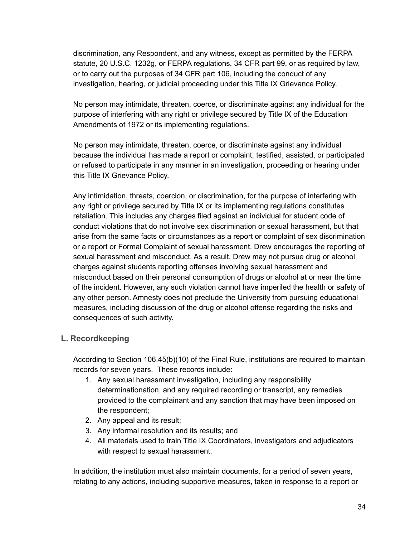discrimination, any Respondent, and any witness, except as permitted by the FERPA statute, 20 U.S.C. 1232g, or FERPA regulations, 34 CFR part 99, or as required by law, or to carry out the purposes of 34 CFR part 106, including the conduct of any investigation, hearing, or judicial proceeding under this Title IX Grievance Policy.

No person may intimidate, threaten, coerce, or discriminate against any individual for the purpose of interfering with any right or privilege secured by Title IX of the Education Amendments of 1972 or its implementing regulations.

No person may intimidate, threaten, coerce, or discriminate against any individual because the individual has made a report or complaint, testified, assisted, or participated or refused to participate in any manner in an investigation, proceeding or hearing under this Title IX Grievance Policy.

Any intimidation, threats, coercion, or discrimination, for the purpose of interfering with any right or privilege secured by Title IX or its implementing regulations constitutes retaliation. This includes any charges filed against an individual for student code of conduct violations that do not involve sex discrimination or sexual harassment, but that arise from the same facts or circumstances as a report or complaint of sex discrimination or a report or Formal Complaint of sexual harassment. Drew encourages the reporting of sexual harassment and misconduct. As a result, Drew may not pursue drug or alcohol charges against students reporting offenses involving sexual harassment and misconduct based on their personal consumption of drugs or alcohol at or near the time of the incident. However, any such violation cannot have imperiled the health or safety of any other person. Amnesty does not preclude the University from pursuing educational measures, including discussion of the drug or alcohol offense regarding the risks and consequences of such activity.

# <span id="page-33-0"></span>**L. Recordkeeping**

According to Section 106.45(b)(10) of the Final Rule, institutions are required to maintain records for seven years. These records include:

- 1. Any sexual harassment investigation, including any responsibility determinationation, and any required recording or transcript, any remedies provided to the complainant and any sanction that may have been imposed on the respondent;
- 2. Any appeal and its result;
- 3. Any informal resolution and its results; and
- 4. All materials used to train Title IX Coordinators, investigators and adjudicators with respect to sexual harassment.

In addition, the institution must also maintain documents, for a period of seven years, relating to any actions, including supportive measures, taken in response to a report or